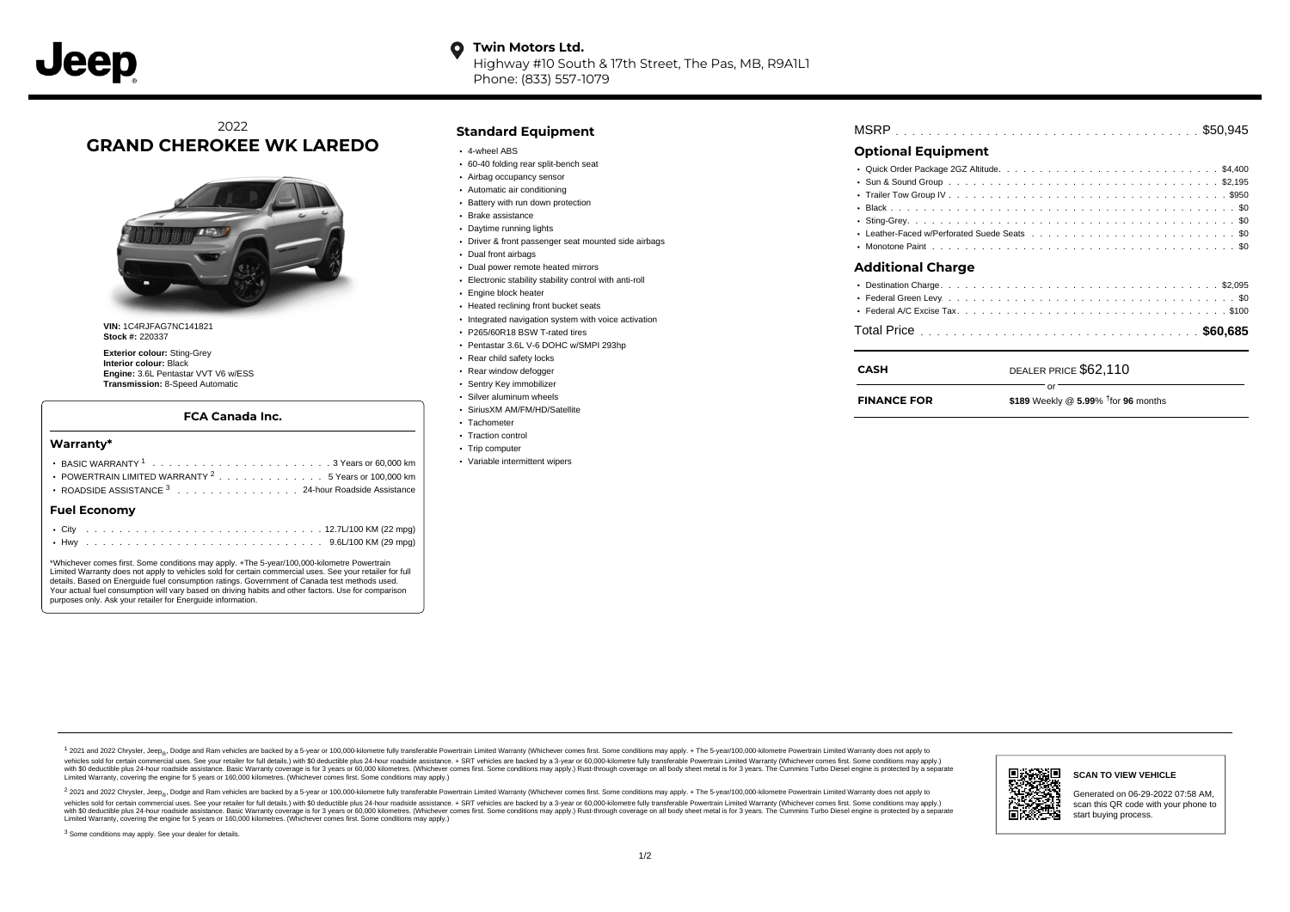Highway #10 South & 17th Street, The Pas, MB, R9A1L1 Phone: (833) 557-1079

# 2022 **GRAND CHEROKEE WK LAREDO**



**VIN:** 1C4RJFAG7NC141821 **Stock #:** 220337

**Exterior colour:** Sting-Grey **Interior colour:** Black **Engine:** 3.6L Pentastar VVT V6 w/ESS **Transmission:** 8-Speed Automatic

### **FCA Canada Inc.**

### **Warranty\***

| POWERTRAIN LIMITED WARRANTY <sup>2</sup> 5 Years or 100,000 km<br>ROADSIDE ASSISTANCE 3 24-hour Roadside Assistance |  |  |  |  |  |  |  |  |  |  |  |  |  |  |  |  |  |  |  |
|---------------------------------------------------------------------------------------------------------------------|--|--|--|--|--|--|--|--|--|--|--|--|--|--|--|--|--|--|--|
| <b>Fuel Economy</b>                                                                                                 |  |  |  |  |  |  |  |  |  |  |  |  |  |  |  |  |  |  |  |
|                                                                                                                     |  |  |  |  |  |  |  |  |  |  |  |  |  |  |  |  |  |  |  |

\*Whichever comes first. Some conditions may apply. +The 5-year/100,000-kilometre Powertrain Limited Warranty does not apply to vehicles sold for certain commercial uses. See your retailer for full details. Based on Energuide fuel consumption ratings. Government of Canada test methods used. Your actual fuel consumption will vary based on driving habits and other factors. Use for comparison purposes only. Ask your retailer for Energuide information.

## **Standard Equipment**

- 4-wheel ABS
- 60-40 folding rear split-bench seat
- Airbag occupancy sensor
- Automatic air conditioning
- Battery with run down protection
- Brake assistance
- Daytime running lights
- Driver & front passenger seat mounted side airbags
- Dual front airbags
- Dual power remote heated mirrors
- Electronic stability stability control with anti-roll
- Engine block heater
- Heated reclining front bucket seats
- $\cdot$  Integrated navigation system with voice activation
- P265/60R18 BSW T-rated tires
- Pentastar 3.6L V-6 DOHC w/SMPI 293hp
- Rear child safety locks
- Rear window defogger
- Sentry Key immobilizer
- Silver aluminum wheels
- SiriusXM AM/FM/HD/Satellite
- Tachometer
- Traction control
- Trip computer
- Variable intermittent wipers

| <b>MSRP</b> |  |  |  |  |  |  |  |
|-------------|--|--|--|--|--|--|--|
|-------------|--|--|--|--|--|--|--|

# **Optional Equipment**

| <b>Additional Charge</b> |  |
|--------------------------|--|
|                          |  |
|                          |  |

| CASH               | DEALER PRICE \$62,110                                         |
|--------------------|---------------------------------------------------------------|
| <b>FINANCE FOR</b> | $\cap$ r<br>\$189 Weekly $@$ 5.99% <sup>†</sup> for 96 months |
|                    |                                                               |

1 2021 and 2022 Chrysler, Jeep<sub>er</sub>, Dodge and Ram vehicles are backed by a 5-year or 100,000-kilometre fully transferable Powertrain Limited Warranty (Whichever comes first. Some conditions may apply. + The 5-year/100,000vehicles sold for certain commercial uses. See your retailer for full details.) with \$0 deductible plus 24-hour roadside assistance. + SRT vehicles are backed by a 3-year or 60,000-kilometre fully transferable Powertrain L versus and contract the mean of the contract of the contract with a contract with a contract the contract of the search of the contract and a control of the contract and contract and control of the search of the search of Limited Warranty, covering the engine for 5 years or 160,000 kilometres. (Whichever comes first. Some conditions may apply.)

2 2021 and 2022 Chrysler, Jeep<sub>e»</sub> Dodge and Ram vehicles are backed by a 5-year or 100,000-kilometre fully transferable Powertrain Limited Warranty (Whichever comes first. Some conditions may apply. + The 5-year/100,000-k vehicles sold for certain commercial uses. See your retailer for full details.) with SO deductible plus 24-hour roadside assistance. + SRT vehicles are backed by a 3-year or 60.000-kilometre fully transferable Powertrain L with S0 deductible plus 24-hour roadside assistance. Basic Warranty coverage is for 3 years or 60,000 kilometres. (Whichever comes first. Some conditions may apply.) Rust-through coverage on all body sheet metal is for 3 y



**SCAN TO VIEW VEHICLE**

Generated on 06-29-2022 07:58 AM, scan this QR code with your phone to start buying process.

<sup>3</sup> Some conditions may apply. See your dealer for details.